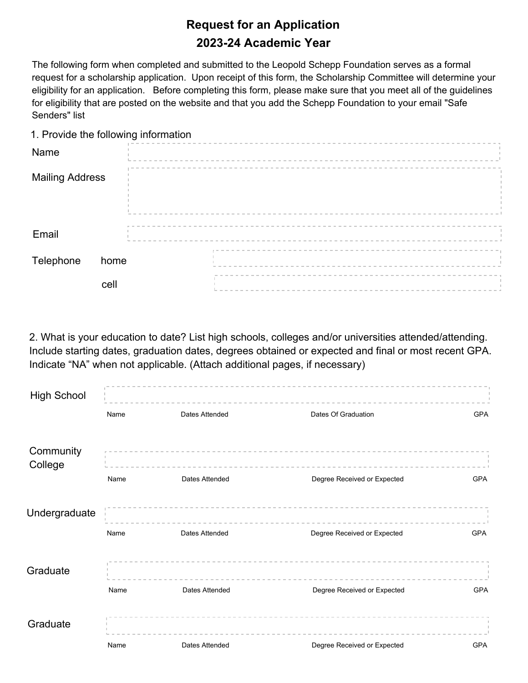## **Request for an Application** 2023-24 Academic Year

The following form when completed and submitted to the Leopold Schepp Foundation serves as a formal request for a scholarship application. Upon receipt of this form, the Scholarship Committee will determine your eligibility for an application. Before completing this form, please make sure that you meet all of the guidelines for eligibility that are posted on the website and that you add the Schepp Foundation to your email "Safe Senders" list

1. Provide the following information

| Name                   |      |  |  |  |  |  |  |  |  |  |                                 |  |  |  |  |  |  |  |
|------------------------|------|--|--|--|--|--|--|--|--|--|---------------------------------|--|--|--|--|--|--|--|
| <b>Mailing Address</b> |      |  |  |  |  |  |  |  |  |  |                                 |  |  |  |  |  |  |  |
|                        |      |  |  |  |  |  |  |  |  |  |                                 |  |  |  |  |  |  |  |
| Email                  |      |  |  |  |  |  |  |  |  |  |                                 |  |  |  |  |  |  |  |
| Telephone              | home |  |  |  |  |  |  |  |  |  | ------------------------------- |  |  |  |  |  |  |  |
|                        | cell |  |  |  |  |  |  |  |  |  |                                 |  |  |  |  |  |  |  |

2. What is your education to date? List high schools, colleges and/or universities attended/attending. Include starting dates, graduation dates, degrees obtained or expected and final or most recent GPA. Indicate "NA" when not applicable. (Attach additional pages, if necessary)

| <b>High School</b>   |      |                |                             |            |
|----------------------|------|----------------|-----------------------------|------------|
|                      | Name | Dates Attended | Dates Of Graduation         | GPA        |
| Community<br>College |      |                |                             |            |
|                      | Name | Dates Attended | Degree Received or Expected | <b>GPA</b> |
| Undergraduate        |      |                |                             |            |
|                      | Name | Dates Attended | Degree Received or Expected | <b>GPA</b> |
| Graduate             |      |                |                             |            |
|                      | Name | Dates Attended | Degree Received or Expected | <b>GPA</b> |
| Graduate             |      |                |                             |            |
|                      | Name | Dates Attended | Degree Received or Expected | <b>GPA</b> |